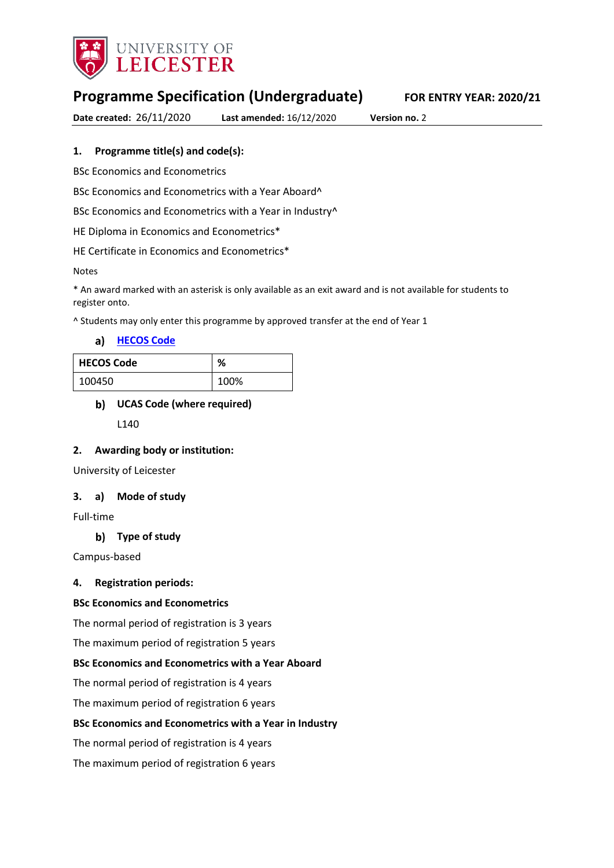

# **Programme Specification (Undergraduate) FOR ENTRY YEAR: 2020/21**

**Date created:** 26/11/2020 **Last amended:** 16/12/2020 **Version no.** 2

### **1. Programme title(s) and code(s):**

BSc Economics and Econometrics

BSc Economics and Econometrics with a Year Aboard^

BSc Economics and Econometrics with a Year in Industry<sup>^</sup>

HE Diploma in Economics and Econometrics\*

HE Certificate in Economics and Econometrics\*

Notes

\* An award marked with an asterisk is only available as an exit award and is not available for students to register onto.

^ Students may only enter this programme by approved transfer at the end of Year 1

**[HECOS Code](https://www.hesa.ac.uk/innovation/hecos)**

| <b>HECOS Code</b> | ℅    |
|-------------------|------|
| 100450            | 100% |

### **UCAS Code (where required)**

L140

### **2. Awarding body or institution:**

University of Leicester

### **3. a) Mode of study**

Full-time

### **Type of study**

Campus-based

### **4. Registration periods:**

### **BSc Economics and Econometrics**

The normal period of registration is 3 years

The maximum period of registration 5 years

### **BSc Economics and Econometrics with a Year Aboard**

The normal period of registration is 4 years

The maximum period of registration 6 years

### **BSc Economics and Econometrics with a Year in Industry**

The normal period of registration is 4 years

The maximum period of registration 6 years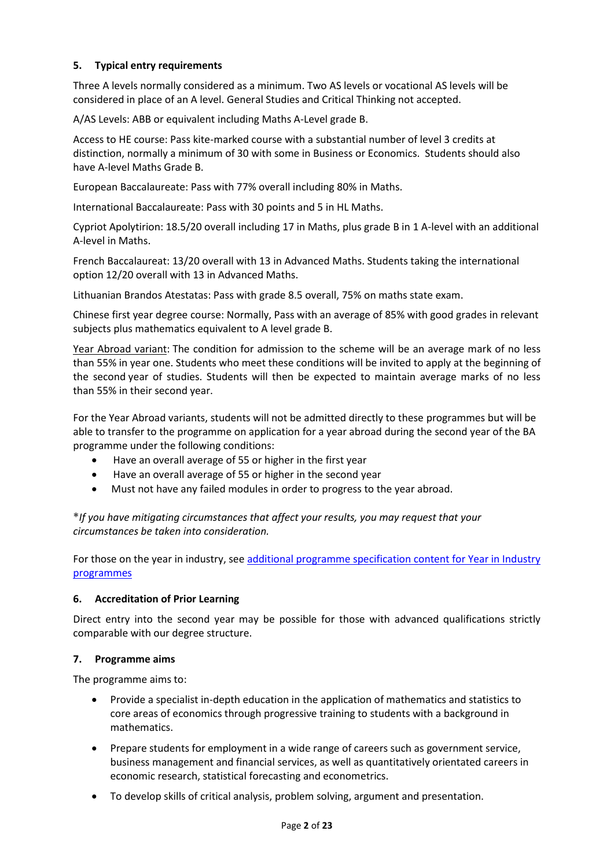### **5. Typical entry requirements**

Three A levels normally considered as a minimum. Two AS levels or vocational AS levels will be considered in place of an A level. General Studies and Critical Thinking not accepted.

A/AS Levels: ABB or equivalent including Maths A-Level grade B.

Access to HE course: Pass kite-marked course with a substantial number of level 3 credits at distinction, normally a minimum of 30 with some in Business or Economics. Students should also have A-level Maths Grade B.

European Baccalaureate: Pass with 77% overall including 80% in Maths.

International Baccalaureate: Pass with 30 points and 5 in HL Maths.

Cypriot Apolytirion: 18.5/20 overall including 17 in Maths, plus grade B in 1 A-level with an additional A-level in Maths.

French Baccalaureat: 13/20 overall with 13 in Advanced Maths. Students taking the international option 12/20 overall with 13 in Advanced Maths.

Lithuanian Brandos Atestatas: Pass with grade 8.5 overall, 75% on maths state exam.

Chinese first year degree course: Normally, Pass with an average of 85% with good grades in relevant subjects plus mathematics equivalent to A level grade B.

Year Abroad variant: The condition for admission to the scheme will be an average mark of no less than 55% in year one. Students who meet these conditions will be invited to apply at the beginning of the second year of studies. Students will then be expected to maintain average marks of no less than 55% in their second year.

For the Year Abroad variants, students will not be admitted directly to these programmes but will be able to transfer to the programme on application for a year abroad during the second year of the BA programme under the following conditions:

- Have an overall average of 55 or higher in the first year
- Have an overall average of 55 or higher in the second year
- Must not have any failed modules in order to progress to the year abroad.

**\****If you have mitigating circumstances that affect your results, you may request that your circumstances be taken into consideration.*

For those on the year in industry, see additional programme specification content for Year in Industry [programmes](https://www2.le.ac.uk/offices/sas2/courses/documentation/undergraduate-programme-specification-content-for-year-in-industry-programme-variants)

### **6. Accreditation of Prior Learning**

Direct entry into the second year may be possible for those with advanced qualifications strictly comparable with our degree structure.

### **7. Programme aims**

The programme aims to:

- Provide a specialist in-depth education in the application of mathematics and statistics to core areas of economics through progressive training to students with a background in mathematics.
- Prepare students for employment in a wide range of careers such as government service, business management and financial services, as well as quantitatively orientated careers in economic research, statistical forecasting and econometrics.
- To develop skills of critical analysis, problem solving, argument and presentation.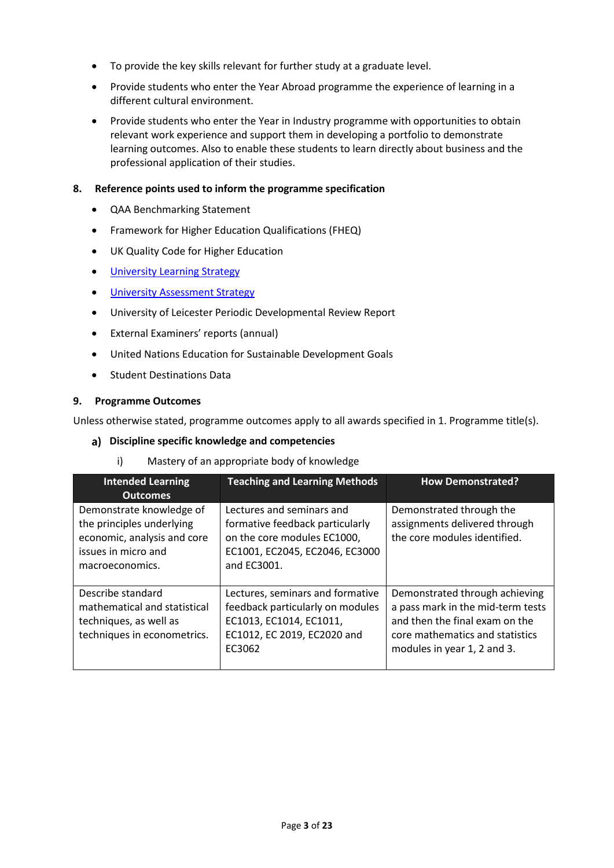- To provide the key skills relevant for further study at a graduate level.
- Provide students who enter the Year Abroad programme the experience of learning in a different cultural environment.
- Provide students who enter the Year in Industry programme with opportunities to obtain relevant work experience and support them in developing a portfolio to demonstrate learning outcomes. Also to enable these students to learn directly about business and the professional application of their studies.

### **8. Reference points used to inform the programme specification**

- QAA Benchmarking Statement
- Framework for Higher Education Qualifications (FHEQ)
- UK Quality Code for Higher Education
- **•** University Learnin[g Strategy](https://www2.le.ac.uk/offices/sas2/quality/learnteach)
- **[University Assessment Strategy](https://www2.le.ac.uk/offices/sas2/quality/learnteach)**
- University of Leicester Periodic Developmental Review Report
- External Examiners' reports (annual)
- United Nations Education for Sustainable Development Goals
- Student Destinations Data

### **9. Programme Outcomes**

Unless otherwise stated, programme outcomes apply to all awards specified in 1. Programme title(s).

### **Discipline specific knowledge and competencies**

i) Mastery of an appropriate body of knowledge

| <b>Intended Learning</b><br><b>Outcomes</b>                                                                                    | <b>Teaching and Learning Methods</b>                                                                                                         | <b>How Demonstrated?</b>                                                                                                                                                |
|--------------------------------------------------------------------------------------------------------------------------------|----------------------------------------------------------------------------------------------------------------------------------------------|-------------------------------------------------------------------------------------------------------------------------------------------------------------------------|
| Demonstrate knowledge of<br>the principles underlying<br>economic, analysis and core<br>issues in micro and<br>macroeconomics. | Lectures and seminars and<br>formative feedback particularly<br>on the core modules EC1000,<br>EC1001, EC2045, EC2046, EC3000<br>and EC3001. | Demonstrated through the<br>assignments delivered through<br>the core modules identified.                                                                               |
| Describe standard<br>mathematical and statistical<br>techniques, as well as<br>techniques in econometrics.                     | Lectures, seminars and formative<br>feedback particularly on modules<br>EC1013, EC1014, EC1011,<br>EC1012, EC 2019, EC2020 and<br>EC3062     | Demonstrated through achieving<br>a pass mark in the mid-term tests<br>and then the final exam on the<br>core mathematics and statistics<br>modules in year 1, 2 and 3. |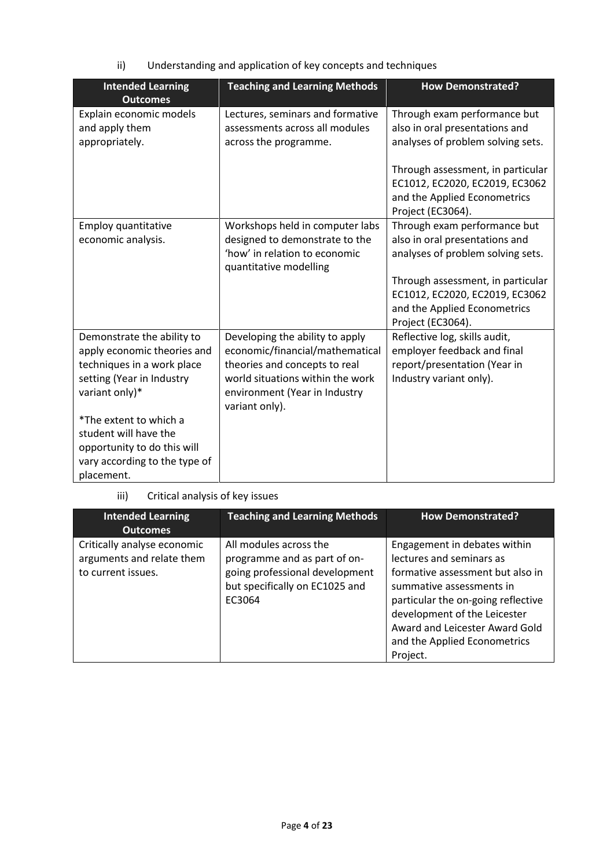ii) Understanding and application of key concepts and techniques

| <b>Intended Learning</b><br><b>Outcomes</b>                                                                                            | <b>Teaching and Learning Methods</b>                                                                                                                                                       | <b>How Demonstrated?</b>                                                                                                                                                                                                        |
|----------------------------------------------------------------------------------------------------------------------------------------|--------------------------------------------------------------------------------------------------------------------------------------------------------------------------------------------|---------------------------------------------------------------------------------------------------------------------------------------------------------------------------------------------------------------------------------|
| Explain economic models<br>and apply them<br>appropriately.                                                                            | Lectures, seminars and formative<br>assessments across all modules<br>across the programme.                                                                                                | Through exam performance but<br>also in oral presentations and<br>analyses of problem solving sets.<br>Through assessment, in particular                                                                                        |
|                                                                                                                                        |                                                                                                                                                                                            | EC1012, EC2020, EC2019, EC3062<br>and the Applied Econometrics<br>Project (EC3064).                                                                                                                                             |
| Employ quantitative<br>economic analysis.                                                                                              | Workshops held in computer labs<br>designed to demonstrate to the<br>'how' in relation to economic<br>quantitative modelling                                                               | Through exam performance but<br>also in oral presentations and<br>analyses of problem solving sets.<br>Through assessment, in particular<br>EC1012, EC2020, EC2019, EC3062<br>and the Applied Econometrics<br>Project (EC3064). |
| Demonstrate the ability to<br>apply economic theories and<br>techniques in a work place<br>setting (Year in Industry<br>variant only)* | Developing the ability to apply<br>economic/financial/mathematical<br>theories and concepts to real<br>world situations within the work<br>environment (Year in Industry<br>variant only). | Reflective log, skills audit,<br>employer feedback and final<br>report/presentation (Year in<br>Industry variant only).                                                                                                         |
| *The extent to which a<br>student will have the<br>opportunity to do this will<br>vary according to the type of<br>placement.          |                                                                                                                                                                                            |                                                                                                                                                                                                                                 |

## iii) Critical analysis of key issues

| <b>Intended Learning</b><br><b>Outcomes</b>                                    | <b>Teaching and Learning Methods</b>                                                                                                 | <b>How Demonstrated?</b>                                                                                                                                                                                                                                                     |
|--------------------------------------------------------------------------------|--------------------------------------------------------------------------------------------------------------------------------------|------------------------------------------------------------------------------------------------------------------------------------------------------------------------------------------------------------------------------------------------------------------------------|
| Critically analyse economic<br>arguments and relate them<br>to current issues. | All modules across the<br>programme and as part of on-<br>going professional development<br>but specifically on EC1025 and<br>EC3064 | Engagement in debates within<br>lectures and seminars as<br>formative assessment but also in<br>summative assessments in<br>particular the on-going reflective<br>development of the Leicester<br>Award and Leicester Award Gold<br>and the Applied Econometrics<br>Project. |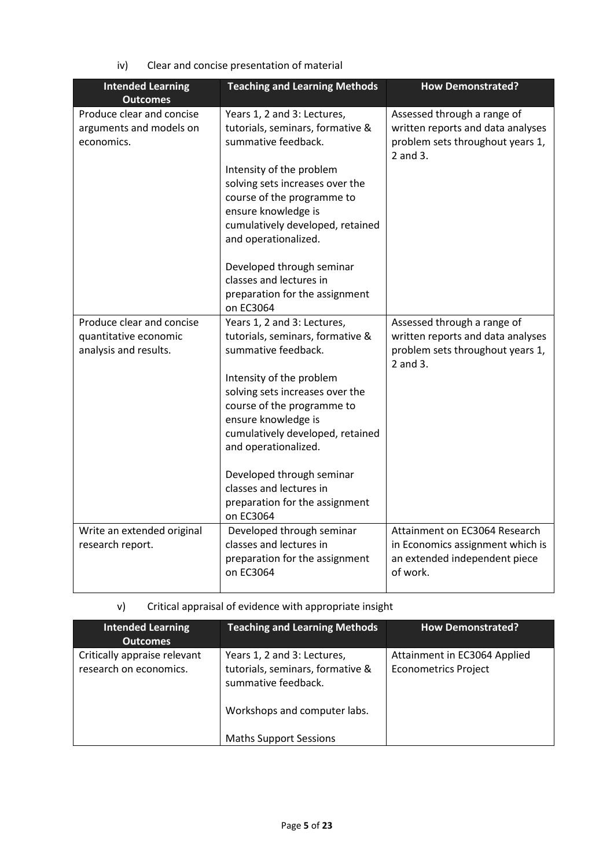| <b>Intended Learning</b><br><b>Outcomes</b>                                 | <b>Teaching and Learning Methods</b>                                                                                                                                         | <b>How Demonstrated?</b>                                                                                         |
|-----------------------------------------------------------------------------|------------------------------------------------------------------------------------------------------------------------------------------------------------------------------|------------------------------------------------------------------------------------------------------------------|
| Produce clear and concise<br>arguments and models on<br>economics.          | Years 1, 2 and 3: Lectures,<br>tutorials, seminars, formative &<br>summative feedback.                                                                                       | Assessed through a range of<br>written reports and data analyses<br>problem sets throughout years 1,<br>2 and 3. |
|                                                                             | Intensity of the problem<br>solving sets increases over the<br>course of the programme to<br>ensure knowledge is<br>cumulatively developed, retained<br>and operationalized. |                                                                                                                  |
|                                                                             | Developed through seminar<br>classes and lectures in<br>preparation for the assignment<br>on EC3064                                                                          |                                                                                                                  |
| Produce clear and concise<br>quantitative economic<br>analysis and results. | Years 1, 2 and 3: Lectures,<br>tutorials, seminars, formative &<br>summative feedback.                                                                                       | Assessed through a range of<br>written reports and data analyses<br>problem sets throughout years 1,<br>2 and 3. |
|                                                                             | Intensity of the problem<br>solving sets increases over the<br>course of the programme to<br>ensure knowledge is<br>cumulatively developed, retained<br>and operationalized. |                                                                                                                  |
|                                                                             | Developed through seminar<br>classes and lectures in<br>preparation for the assignment<br>on EC3064                                                                          |                                                                                                                  |
| Write an extended original<br>research report.                              | Developed through seminar<br>classes and lectures in<br>preparation for the assignment<br>on EC3064                                                                          | Attainment on EC3064 Research<br>in Economics assignment which is<br>an extended independent piece<br>of work.   |

iv) Clear and concise presentation of material

# v) Critical appraisal of evidence with appropriate insight

| <b>Intended Learning</b><br><b>Outcomes</b>            | <b>Teaching and Learning Methods</b>                                                                                   | <b>How Demonstrated?</b>                                    |
|--------------------------------------------------------|------------------------------------------------------------------------------------------------------------------------|-------------------------------------------------------------|
| Critically appraise relevant<br>research on economics. | Years 1, 2 and 3: Lectures,<br>tutorials, seminars, formative &<br>summative feedback.<br>Workshops and computer labs. | Attainment in EC3064 Applied<br><b>Econometrics Project</b> |
|                                                        | <b>Maths Support Sessions</b>                                                                                          |                                                             |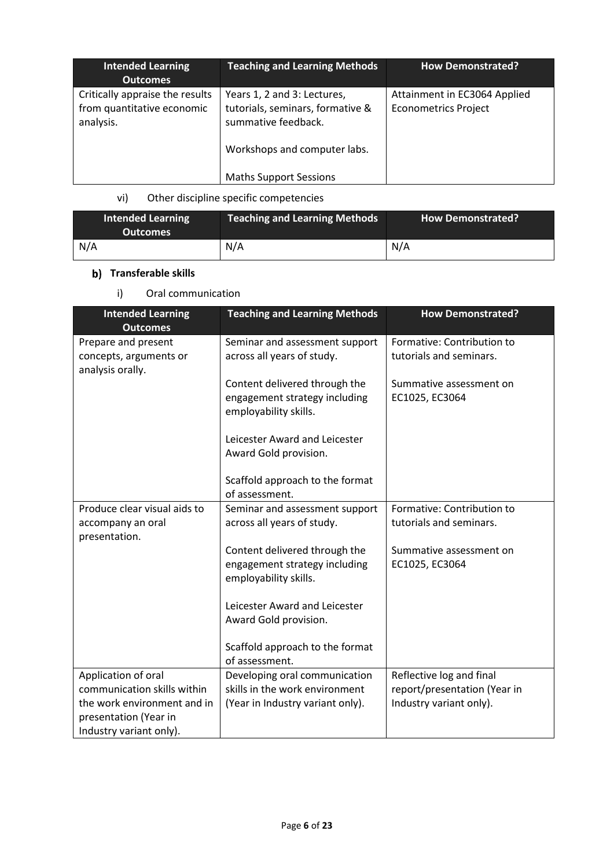| <b>Intended Learning</b><br><b>Outcomes</b>                                | <b>Teaching and Learning Methods</b>                                                                                   | <b>How Demonstrated?</b>                                    |
|----------------------------------------------------------------------------|------------------------------------------------------------------------------------------------------------------------|-------------------------------------------------------------|
| Critically appraise the results<br>from quantitative economic<br>analysis. | Years 1, 2 and 3: Lectures,<br>tutorials, seminars, formative &<br>summative feedback.<br>Workshops and computer labs. | Attainment in EC3064 Applied<br><b>Econometrics Project</b> |
|                                                                            | <b>Maths Support Sessions</b>                                                                                          |                                                             |

## vi) Other discipline specific competencies

| <b>Intended Learning</b><br><b>Outcomes</b> | Teaching and Learning Methods | <b>How Demonstrated?</b> |
|---------------------------------------------|-------------------------------|--------------------------|
| N/A                                         | N/A                           | N/A                      |

# **b)** Transferable skills

i) Oral communication

| <b>Intended Learning</b><br><b>Outcomes</b>                                     | <b>Teaching and Learning Methods</b>                                                    | <b>How Demonstrated?</b>                              |
|---------------------------------------------------------------------------------|-----------------------------------------------------------------------------------------|-------------------------------------------------------|
| Prepare and present<br>concepts, arguments or<br>analysis orally.               | Seminar and assessment support<br>across all years of study.                            | Formative: Contribution to<br>tutorials and seminars. |
|                                                                                 | Content delivered through the<br>engagement strategy including<br>employability skills. | Summative assessment on<br>EC1025, EC3064             |
|                                                                                 | Leicester Award and Leicester<br>Award Gold provision.                                  |                                                       |
|                                                                                 | Scaffold approach to the format<br>of assessment.                                       |                                                       |
| Produce clear visual aids to<br>accompany an oral<br>presentation.              | Seminar and assessment support<br>across all years of study.                            | Formative: Contribution to<br>tutorials and seminars. |
|                                                                                 | Content delivered through the<br>engagement strategy including<br>employability skills. | Summative assessment on<br>EC1025, EC3064             |
|                                                                                 | Leicester Award and Leicester<br>Award Gold provision.                                  |                                                       |
|                                                                                 | Scaffold approach to the format<br>of assessment.                                       |                                                       |
| Application of oral                                                             | Developing oral communication                                                           | Reflective log and final                              |
| communication skills within                                                     | skills in the work environment                                                          | report/presentation (Year in                          |
| the work environment and in<br>presentation (Year in<br>Industry variant only). | (Year in Industry variant only).                                                        | Industry variant only).                               |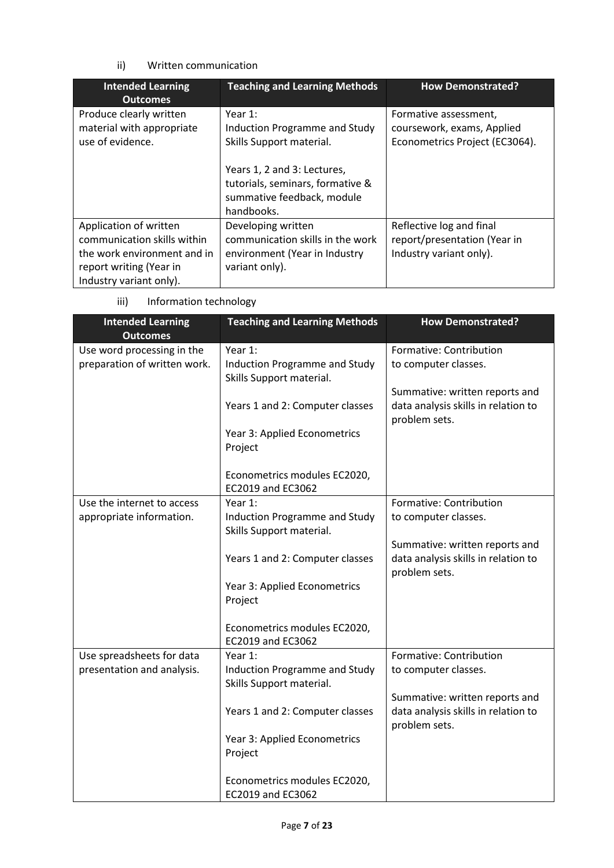### ii) Written communication

| <b>Intended Learning</b><br><b>Outcomes</b>                                                                                                | <b>Teaching and Learning Methods</b>                                                                                                                                                   | <b>How Demonstrated?</b>                                                              |
|--------------------------------------------------------------------------------------------------------------------------------------------|----------------------------------------------------------------------------------------------------------------------------------------------------------------------------------------|---------------------------------------------------------------------------------------|
| Produce clearly written<br>material with appropriate<br>use of evidence.                                                                   | Year $1$ :<br>Induction Programme and Study<br>Skills Support material.<br>Years 1, 2 and 3: Lectures,<br>tutorials, seminars, formative &<br>summative feedback, module<br>handbooks. | Formative assessment,<br>coursework, exams, Applied<br>Econometrics Project (EC3064). |
| Application of written<br>communication skills within<br>the work environment and in<br>report writing (Year in<br>Industry variant only). | Developing written<br>communication skills in the work<br>environment (Year in Industry<br>variant only).                                                                              | Reflective log and final<br>report/presentation (Year in<br>Industry variant only).   |

iii) Information technology

| <b>Intended Learning</b><br><b>Outcomes</b> | <b>Teaching and Learning Methods</b> | <b>How Demonstrated?</b>            |
|---------------------------------------------|--------------------------------------|-------------------------------------|
| Use word processing in the                  | Year 1:                              | Formative: Contribution             |
| preparation of written work.                | <b>Induction Programme and Study</b> | to computer classes.                |
|                                             | Skills Support material.             |                                     |
|                                             |                                      | Summative: written reports and      |
|                                             | Years 1 and 2: Computer classes      | data analysis skills in relation to |
|                                             |                                      | problem sets.                       |
|                                             | Year 3: Applied Econometrics         |                                     |
|                                             | Project                              |                                     |
|                                             |                                      |                                     |
|                                             | Econometrics modules EC2020,         |                                     |
|                                             | EC2019 and EC3062                    |                                     |
| Use the internet to access                  | Year 1:                              | Formative: Contribution             |
| appropriate information.                    | Induction Programme and Study        | to computer classes.                |
|                                             | Skills Support material.             |                                     |
|                                             |                                      | Summative: written reports and      |
|                                             | Years 1 and 2: Computer classes      | data analysis skills in relation to |
|                                             |                                      | problem sets.                       |
|                                             | Year 3: Applied Econometrics         |                                     |
|                                             | Project                              |                                     |
|                                             |                                      |                                     |
|                                             | Econometrics modules EC2020,         |                                     |
|                                             | EC2019 and EC3062                    |                                     |
| Use spreadsheets for data                   | Year 1:                              | Formative: Contribution             |
| presentation and analysis.                  | Induction Programme and Study        | to computer classes.                |
|                                             | Skills Support material.             |                                     |
|                                             |                                      | Summative: written reports and      |
|                                             | Years 1 and 2: Computer classes      | data analysis skills in relation to |
|                                             |                                      | problem sets.                       |
|                                             | Year 3: Applied Econometrics         |                                     |
|                                             | Project                              |                                     |
|                                             |                                      |                                     |
|                                             | Econometrics modules EC2020,         |                                     |
|                                             | EC2019 and EC3062                    |                                     |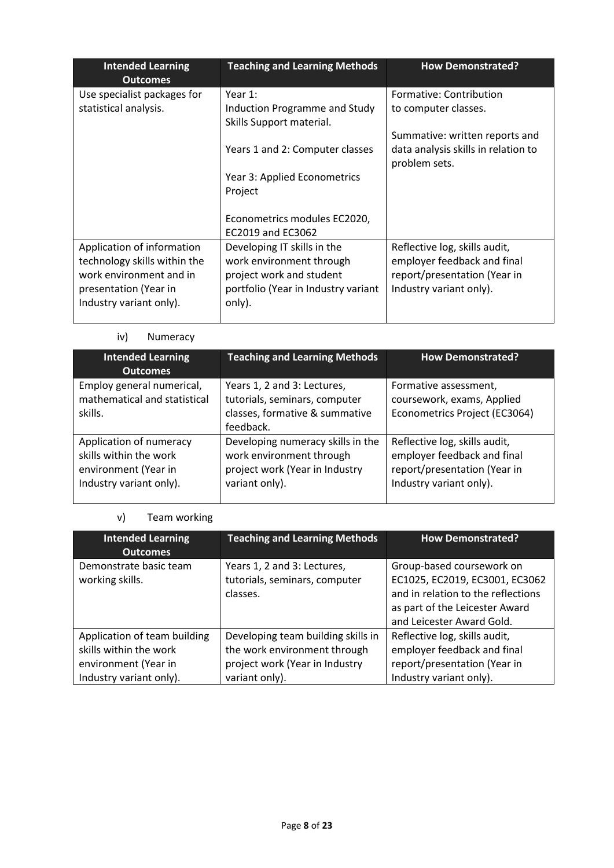| <b>Teaching and Learning Methods</b>                      | <b>How Demonstrated?</b>                             |
|-----------------------------------------------------------|------------------------------------------------------|
| Year 1:                                                   | Formative: Contribution                              |
| Induction Programme and Study<br>Skills Support material. | to computer classes.                                 |
|                                                           | Summative: written reports and                       |
| Years 1 and 2: Computer classes                           | data analysis skills in relation to<br>problem sets. |
| Year 3: Applied Econometrics                              |                                                      |
| Project                                                   |                                                      |
| Econometrics modules EC2020,<br>EC2019 and EC3062         |                                                      |
| Developing IT skills in the                               | Reflective log, skills audit,                        |
| work environment through                                  | employer feedback and final                          |
| project work and student                                  | report/presentation (Year in                         |
| portfolio (Year in Industry variant<br>only).             | Industry variant only).                              |
|                                                           |                                                      |

## iv) Numeracy

| <b>Intended Learning</b><br><b>Outcomes</b>                                                          | <b>Teaching and Learning Methods</b>                                                                              | <b>How Demonstrated?</b>                                                                                                |
|------------------------------------------------------------------------------------------------------|-------------------------------------------------------------------------------------------------------------------|-------------------------------------------------------------------------------------------------------------------------|
| Employ general numerical,<br>mathematical and statistical<br>skills.                                 | Years 1, 2 and 3: Lectures,<br>tutorials, seminars, computer<br>classes, formative & summative<br>feedback.       | Formative assessment,<br>coursework, exams, Applied<br>Econometrics Project (EC3064)                                    |
| Application of numeracy<br>skills within the work<br>environment (Year in<br>Industry variant only). | Developing numeracy skills in the<br>work environment through<br>project work (Year in Industry<br>variant only). | Reflective log, skills audit,<br>employer feedback and final<br>report/presentation (Year in<br>Industry variant only). |

## v) Team working

| <b>Intended Learning</b><br><b>Outcomes</b> | <b>Teaching and Learning Methods</b>                                     | <b>How Demonstrated?</b>                                                                                                                                         |
|---------------------------------------------|--------------------------------------------------------------------------|------------------------------------------------------------------------------------------------------------------------------------------------------------------|
| Demonstrate basic team<br>working skills.   | Years 1, 2 and 3: Lectures,<br>tutorials, seminars, computer<br>classes. | Group-based coursework on<br>EC1025, EC2019, EC3001, EC3062<br>and in relation to the reflections<br>as part of the Leicester Award<br>and Leicester Award Gold. |
| Application of team building                | Developing team building skills in                                       | Reflective log, skills audit,                                                                                                                                    |
| skills within the work                      | the work environment through                                             | employer feedback and final                                                                                                                                      |
| environment (Year in                        | project work (Year in Industry                                           | report/presentation (Year in                                                                                                                                     |
| Industry variant only).                     | variant only).                                                           | Industry variant only).                                                                                                                                          |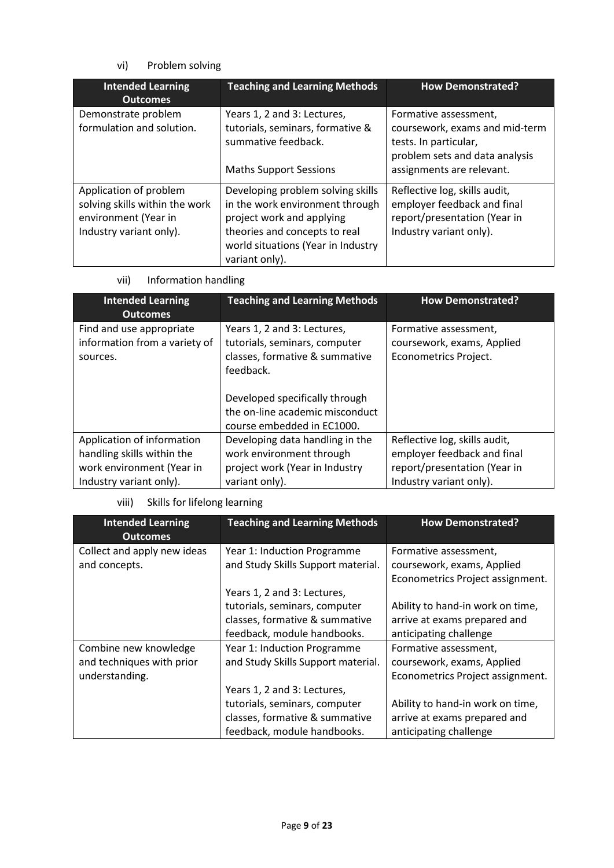## vi) Problem solving

| <b>Intended Learning</b><br><b>Outcomes</b>                                                                 | <b>Teaching and Learning Methods</b>                                                                                                                                                       | <b>How Demonstrated?</b>                                                                                                |
|-------------------------------------------------------------------------------------------------------------|--------------------------------------------------------------------------------------------------------------------------------------------------------------------------------------------|-------------------------------------------------------------------------------------------------------------------------|
| Demonstrate problem<br>formulation and solution.                                                            | Years 1, 2 and 3: Lectures,<br>tutorials, seminars, formative &<br>summative feedback.                                                                                                     | Formative assessment,<br>coursework, exams and mid-term<br>tests. In particular,<br>problem sets and data analysis      |
|                                                                                                             | <b>Maths Support Sessions</b>                                                                                                                                                              | assignments are relevant.                                                                                               |
| Application of problem<br>solving skills within the work<br>environment (Year in<br>Industry variant only). | Developing problem solving skills<br>in the work environment through<br>project work and applying<br>theories and concepts to real<br>world situations (Year in Industry<br>variant only). | Reflective log, skills audit,<br>employer feedback and final<br>report/presentation (Year in<br>Industry variant only). |

vii) Information handling

| <b>Intended Learning</b><br><b>Outcomes</b>                                                                      | <b>Teaching and Learning Methods</b>                                                                            | <b>How Demonstrated?</b>                                                                                                |
|------------------------------------------------------------------------------------------------------------------|-----------------------------------------------------------------------------------------------------------------|-------------------------------------------------------------------------------------------------------------------------|
| Find and use appropriate<br>information from a variety of<br>sources.                                            | Years 1, 2 and 3: Lectures,<br>tutorials, seminars, computer<br>classes, formative & summative<br>feedback.     | Formative assessment,<br>coursework, exams, Applied<br>Econometrics Project.                                            |
|                                                                                                                  | Developed specifically through<br>the on-line academic misconduct<br>course embedded in EC1000.                 |                                                                                                                         |
| Application of information<br>handling skills within the<br>work environment (Year in<br>Industry variant only). | Developing data handling in the<br>work environment through<br>project work (Year in Industry<br>variant only). | Reflective log, skills audit,<br>employer feedback and final<br>report/presentation (Year in<br>Industry variant only). |

### viii) Skills for lifelong learning

| <b>Intended Learning</b><br><b>Outcomes</b>                          | <b>Teaching and Learning Methods</b>                                                                                          | <b>How Demonstrated?</b>                                                                   |
|----------------------------------------------------------------------|-------------------------------------------------------------------------------------------------------------------------------|--------------------------------------------------------------------------------------------|
| Collect and apply new ideas<br>and concepts.                         | Year 1: Induction Programme<br>and Study Skills Support material.                                                             | Formative assessment,<br>coursework, exams, Applied<br>Econometrics Project assignment.    |
|                                                                      | Years 1, 2 and 3: Lectures,<br>tutorials, seminars, computer<br>classes, formative & summative<br>feedback, module handbooks. | Ability to hand-in work on time,<br>arrive at exams prepared and<br>anticipating challenge |
| Combine new knowledge<br>and techniques with prior<br>understanding. | Year 1: Induction Programme<br>and Study Skills Support material.<br>Years 1, 2 and 3: Lectures,                              | Formative assessment,<br>coursework, exams, Applied<br>Econometrics Project assignment.    |
|                                                                      | tutorials, seminars, computer<br>classes, formative & summative<br>feedback, module handbooks.                                | Ability to hand-in work on time,<br>arrive at exams prepared and<br>anticipating challenge |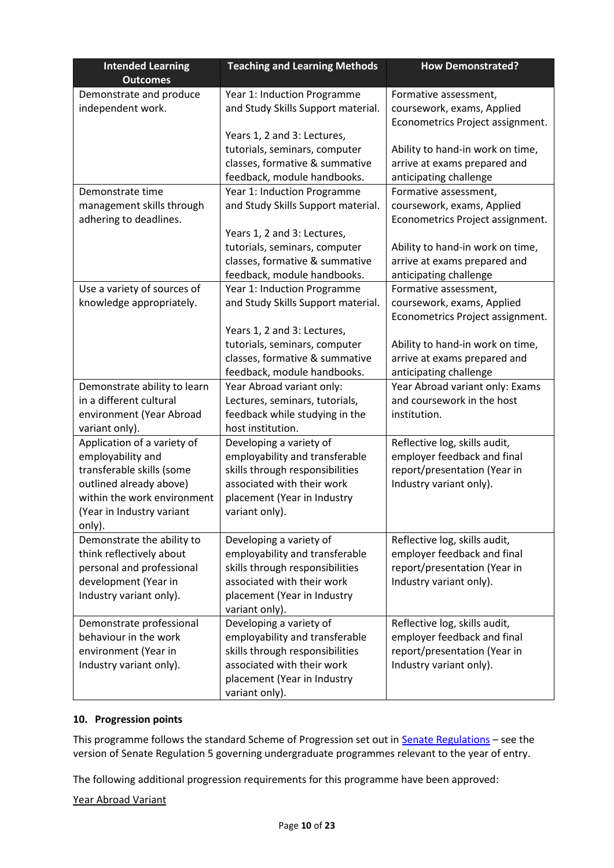| <b>Intended Learning</b><br><b>Outcomes</b>       | <b>Teaching and Learning Methods</b>                              | <b>How Demonstrated?</b>                                    |
|---------------------------------------------------|-------------------------------------------------------------------|-------------------------------------------------------------|
| Demonstrate and produce                           | Year 1: Induction Programme                                       | Formative assessment,                                       |
| independent work.                                 | and Study Skills Support material.                                | coursework, exams, Applied                                  |
|                                                   |                                                                   | Econometrics Project assignment.                            |
|                                                   | Years 1, 2 and 3: Lectures,                                       |                                                             |
|                                                   | tutorials, seminars, computer                                     | Ability to hand-in work on time,                            |
|                                                   | classes, formative & summative                                    | arrive at exams prepared and                                |
|                                                   | feedback, module handbooks.                                       | anticipating challenge                                      |
| Demonstrate time                                  | Year 1: Induction Programme                                       | Formative assessment,                                       |
| management skills through                         | and Study Skills Support material.                                | coursework, exams, Applied                                  |
| adhering to deadlines.                            |                                                                   | Econometrics Project assignment.                            |
|                                                   | Years 1, 2 and 3: Lectures,                                       |                                                             |
|                                                   | tutorials, seminars, computer                                     | Ability to hand-in work on time,                            |
|                                                   | classes, formative & summative                                    | arrive at exams prepared and                                |
|                                                   | feedback, module handbooks.                                       | anticipating challenge                                      |
| Use a variety of sources of                       | Year 1: Induction Programme                                       | Formative assessment,                                       |
| knowledge appropriately.                          | and Study Skills Support material.                                | coursework, exams, Applied                                  |
|                                                   |                                                                   | Econometrics Project assignment.                            |
|                                                   | Years 1, 2 and 3: Lectures,                                       |                                                             |
|                                                   | tutorials, seminars, computer                                     | Ability to hand-in work on time,                            |
|                                                   | classes, formative & summative                                    | arrive at exams prepared and                                |
|                                                   | feedback, module handbooks.                                       | anticipating challenge                                      |
| Demonstrate ability to learn                      | Year Abroad variant only:                                         | Year Abroad variant only: Exams                             |
| in a different cultural                           | Lectures, seminars, tutorials,                                    | and coursework in the host                                  |
| environment (Year Abroad                          | feedback while studying in the                                    | institution.                                                |
| variant only).                                    | host institution.                                                 |                                                             |
| Application of a variety of                       | Developing a variety of                                           | Reflective log, skills audit,                               |
| employability and                                 | employability and transferable                                    | employer feedback and final                                 |
| transferable skills (some                         | skills through responsibilities                                   | report/presentation (Year in                                |
| outlined already above)                           | associated with their work                                        | Industry variant only).                                     |
| within the work environment                       | placement (Year in Industry                                       |                                                             |
| (Year in Industry variant                         | variant only).                                                    |                                                             |
| only).                                            |                                                                   |                                                             |
| Demonstrate the ability to                        | Developing a variety of                                           | Reflective log, skills audit,                               |
| think reflectively about                          | employability and transferable                                    | employer feedback and final                                 |
| personal and professional                         | skills through responsibilities<br>associated with their work     | report/presentation (Year in                                |
| development (Year in                              |                                                                   | Industry variant only).                                     |
| Industry variant only).                           | placement (Year in Industry<br>variant only).                     |                                                             |
|                                                   | Developing a variety of                                           |                                                             |
| Demonstrate professional<br>behaviour in the work |                                                                   | Reflective log, skills audit,                               |
| environment (Year in                              | employability and transferable<br>skills through responsibilities | employer feedback and final<br>report/presentation (Year in |
| Industry variant only).                           | associated with their work                                        | Industry variant only).                                     |
|                                                   | placement (Year in Industry                                       |                                                             |
|                                                   | variant only).                                                    |                                                             |
|                                                   |                                                                   |                                                             |

## **10. Progression points**

This programme follows the standard Scheme of Progression set out in **Senate Regulations** – see the version of Senate Regulation 5 governing undergraduate programmes relevant to the year of entry.

The following additional progression requirements for this programme have been approved:

Year Abroad Variant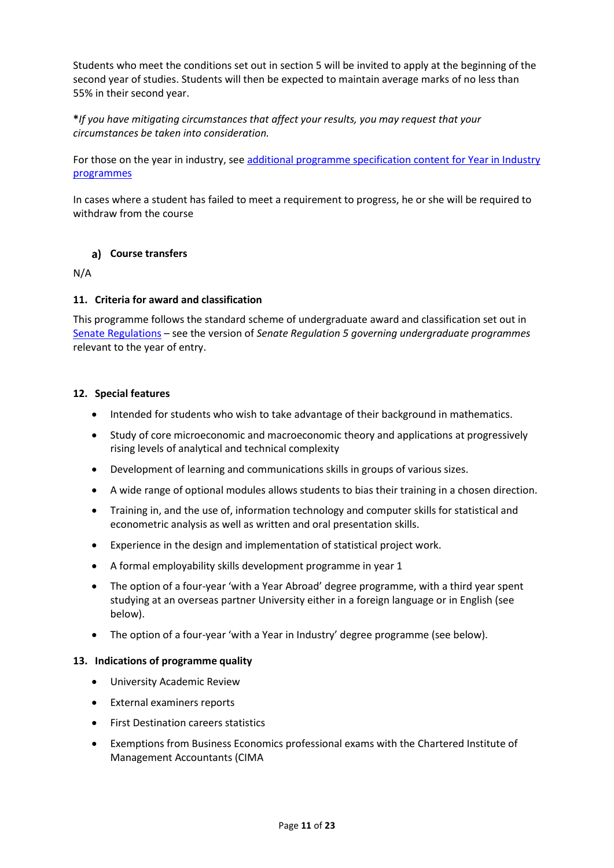Students who meet the conditions set out in section 5 will be invited to apply at the beginning of the second year of studies. Students will then be expected to maintain average marks of no less than 55% in their second year.

### **\****If you have mitigating circumstances that affect your results, you may request that your circumstances be taken into consideration.*

For those on the year in industry, se[e additional programme specification content for Year in Industry](https://www2.le.ac.uk/offices/sas2/courses/documentation/undergraduate-programme-specification-content-for-year-in-industry-programme-variants)  [programmes](https://www2.le.ac.uk/offices/sas2/courses/documentation/undergraduate-programme-specification-content-for-year-in-industry-programme-variants)

In cases where a student has failed to meet a requirement to progress, he or she will be required to withdraw from the course

### **Course transfers**

N/A

### **11. Criteria for award and classification**

This programme follows the standard scheme of undergraduate award and classification set out in [Senate Regulations](http://www.le.ac.uk/senate-regulations) – see the version of *Senate Regulation 5 governing undergraduate programmes* relevant to the year of entry.

### **12. Special features**

- Intended for students who wish to take advantage of their background in mathematics.
- Study of core microeconomic and macroeconomic theory and applications at progressively rising levels of analytical and technical complexity
- Development of learning and communications skills in groups of various sizes.
- A wide range of optional modules allows students to bias their training in a chosen direction.
- Training in, and the use of, information technology and computer skills for statistical and econometric analysis as well as written and oral presentation skills.
- Experience in the design and implementation of statistical project work.
- A formal employability skills development programme in year 1
- The option of a four-year 'with a Year Abroad' degree programme, with a third year spent studying at an overseas partner University either in a foreign language or in English (see below).
- The option of a four-year 'with a Year in Industry' degree programme (see below).

#### **13. Indications of programme quality**

- University Academic Review
- External examiners reports
- First Destination careers statistics
- Exemptions from Business Economics professional exams with the Chartered Institute of Management Accountants (CIMA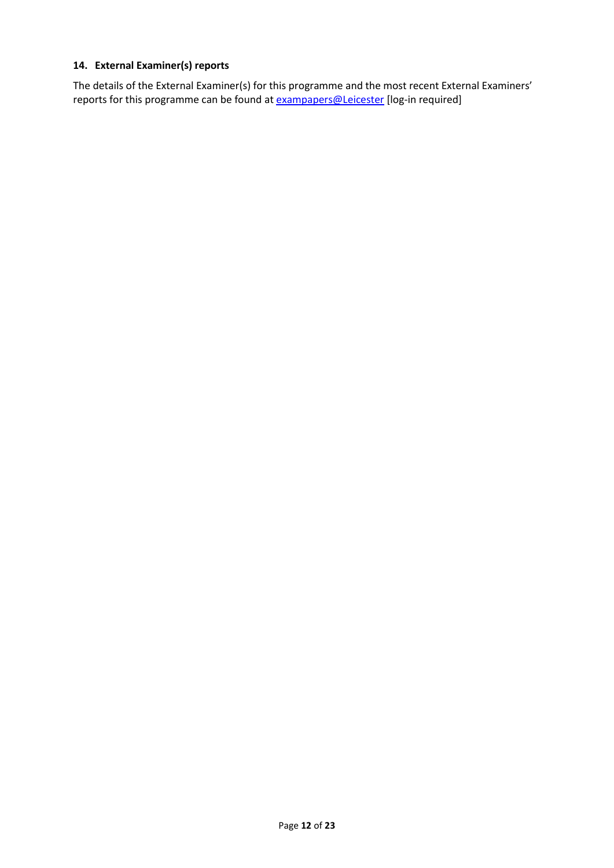### **14. External Examiner(s) reports**

The details of the External Examiner(s) for this programme and the most recent External Examiners' reports for this programme can be found at **[exampapers@Leicester](https://exampapers.le.ac.uk/)** [log-in required]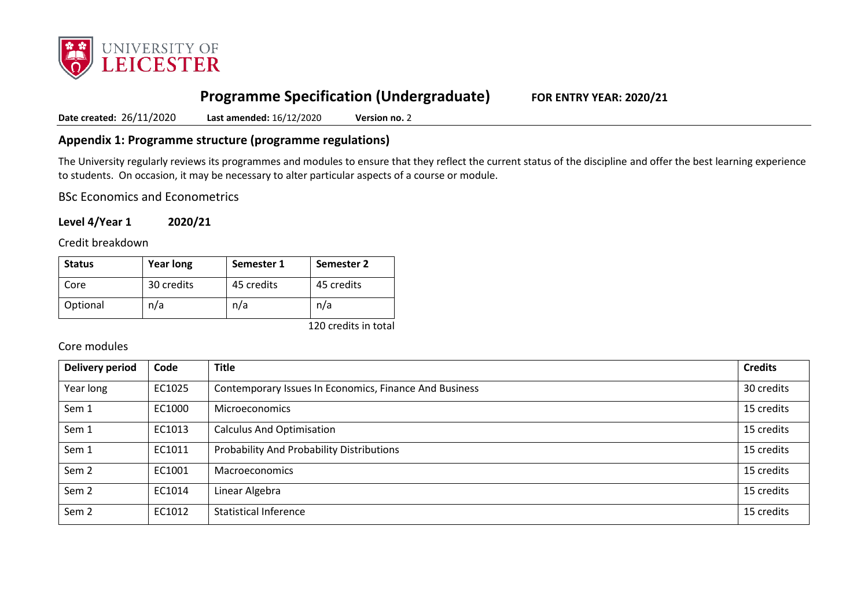

# **Programme Specification (Undergraduate) FOR ENTRY YEAR: 2020/21**

**Date created:** 26/11/2020 **Last amended:** 16/12/2020 **Version no.** 2

## **Appendix 1: Programme structure (programme regulations)**

The University regularly reviews its programmes and modules to ensure that they reflect the current status of the discipline and offer the best learning experience to students. On occasion, it may be necessary to alter particular aspects of a course or module.

BSc Economics and Econometrics

**Level 4/Year 1 2020/21**

Credit breakdown

| <b>Status</b> | <b>Year long</b> | Semester 1 | <b>Semester 2</b> |
|---------------|------------------|------------|-------------------|
| Core          | 30 credits       | 45 credits | 45 credits        |
| Optional      | n/a              | n/a        | n/a               |

120 credits in total

### Core modules

| <b>Delivery period</b> | Code   | <b>Title</b>                                           | <b>Credits</b> |
|------------------------|--------|--------------------------------------------------------|----------------|
| Year long              | EC1025 | Contemporary Issues In Economics, Finance And Business | 30 credits     |
| Sem 1                  | EC1000 | <b>Microeconomics</b>                                  | 15 credits     |
| Sem 1                  | EC1013 | <b>Calculus And Optimisation</b>                       | 15 credits     |
| Sem 1                  | EC1011 | Probability And Probability Distributions              | 15 credits     |
| Sem <sub>2</sub>       | EC1001 | Macroeconomics                                         | 15 credits     |
| Sem <sub>2</sub>       | EC1014 | Linear Algebra                                         | 15 credits     |
| Sem <sub>2</sub>       | EC1012 | <b>Statistical Inference</b>                           | 15 credits     |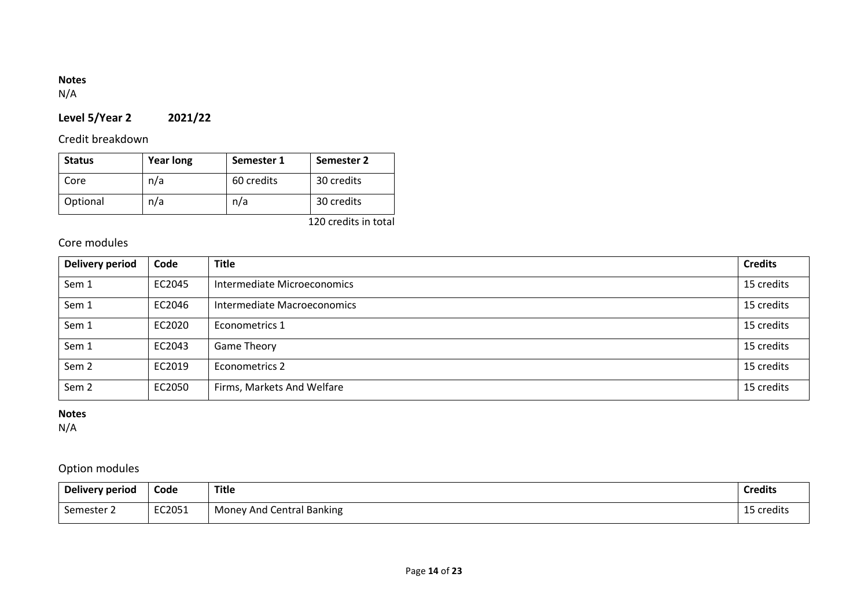## **Notes**

N/A

# **Level 5/Year 2 2021/22**

# Credit breakdown

| <b>Status</b> | <b>Year long</b> | Semester 1 | Semester 2 |
|---------------|------------------|------------|------------|
| Core          | n/a              | 60 credits | 30 credits |
| Optional      | n/a              | n/a        | 30 credits |

120 credits in total

# Core modules

| Delivery period  | Code   | <b>Title</b>                | <b>Credits</b> |
|------------------|--------|-----------------------------|----------------|
| Sem 1            | EC2045 | Intermediate Microeconomics | 15 credits     |
| Sem 1            | EC2046 | Intermediate Macroeconomics | 15 credits     |
| Sem 1            | EC2020 | Econometrics 1              | 15 credits     |
| Sem 1            | EC2043 | Game Theory                 | 15 credits     |
| Sem <sub>2</sub> | EC2019 | Econometrics 2              | 15 credits     |
| Sem <sub>2</sub> | EC2050 | Firms, Markets And Welfare  | 15 credits     |

### **Notes**

N/A

# Option modules

| Delivery period | Code   | <b>Title</b>              | <b>Credits</b> |
|-----------------|--------|---------------------------|----------------|
| Semester 2      | EC2051 | Money And Central Banking | 15 credits     |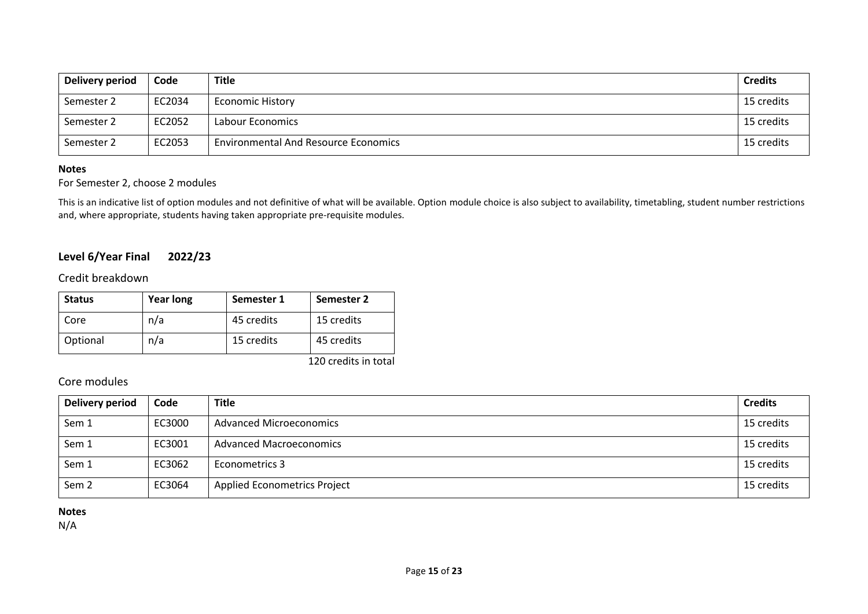| Delivery period | Code   | Title                                       | <b>Credits</b> |
|-----------------|--------|---------------------------------------------|----------------|
| Semester 2      | EC2034 | <b>Economic History</b>                     | 15 credits     |
| Semester 2      | EC2052 | Labour Economics                            | 15 credits     |
| Semester 2      | EC2053 | <b>Environmental And Resource Economics</b> | 15 credits     |

#### **Notes**

### For Semester 2, choose 2 modules

This is an indicative list of option modules and not definitive of what will be available. Option module choice is also subject to availability, timetabling, student number restrictions and, where appropriate, students having taken appropriate pre-requisite modules.

## **Level 6/Year Final 2022/23**

Credit breakdown

| <b>Status</b> | <b>Year long</b> | Semester 1 | Semester 2 |
|---------------|------------------|------------|------------|
| Core          | n/a              | 45 credits | 15 credits |
| Optional      | n/a              | 15 credits | 45 credits |

120 credits in total

### Core modules

| <b>Delivery period</b> | Code   | <b>Title</b>                        | <b>Credits</b> |
|------------------------|--------|-------------------------------------|----------------|
| Sem 1                  | EC3000 | <b>Advanced Microeconomics</b>      | 15 credits     |
| Sem 1                  | EC3001 | <b>Advanced Macroeconomics</b>      | 15 credits     |
| Sem 1                  | EC3062 | Econometrics 3                      | 15 credits     |
| Sem <sub>2</sub>       | EC3064 | <b>Applied Econometrics Project</b> | 15 credits     |

### **Notes**

N/A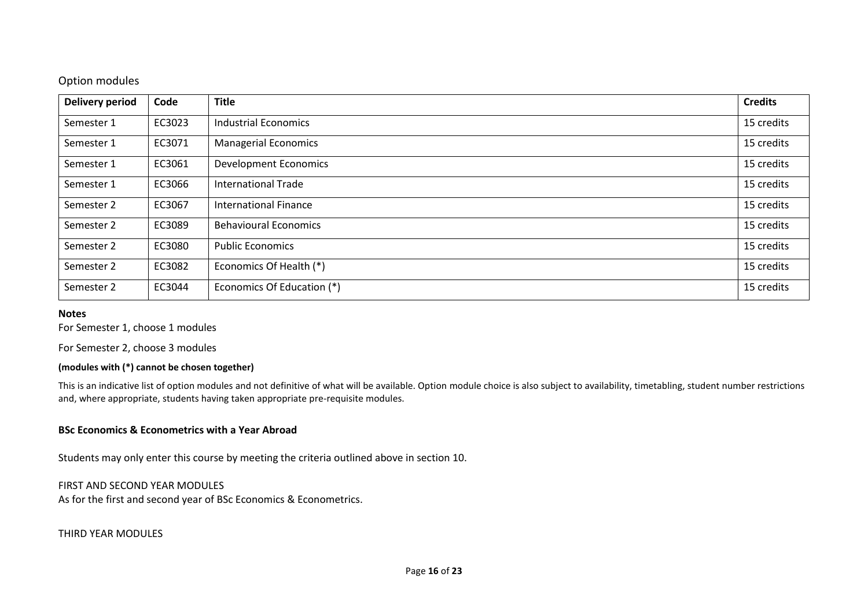### Option modules

| <b>Delivery period</b> | Code   | <b>Title</b>                 | <b>Credits</b> |
|------------------------|--------|------------------------------|----------------|
| Semester 1             | EC3023 | <b>Industrial Economics</b>  | 15 credits     |
| Semester 1             | EC3071 | <b>Managerial Economics</b>  | 15 credits     |
| Semester 1             | EC3061 | <b>Development Economics</b> | 15 credits     |
| Semester 1             | EC3066 | <b>International Trade</b>   | 15 credits     |
| Semester 2             | EC3067 | <b>International Finance</b> | 15 credits     |
| Semester 2             | EC3089 | <b>Behavioural Economics</b> | 15 credits     |
| Semester 2             | EC3080 | <b>Public Economics</b>      | 15 credits     |
| Semester 2             | EC3082 | Economics Of Health (*)      | 15 credits     |
| Semester 2             | EC3044 | Economics Of Education (*)   | 15 credits     |

#### **Notes**

For Semester 1, choose 1 modules

For Semester 2, choose 3 modules

#### **(modules with (\*) cannot be chosen together)**

This is an indicative list of option modules and not definitive of what will be available. Option module choice is also subject to availability, timetabling, student number restrictions and, where appropriate, students having taken appropriate pre-requisite modules.

### **BSc Economics & Econometrics with a Year Abroad**

Students may only enter this course by meeting the criteria outlined above in section 10.

#### FIRST AND SECOND YEAR MODULES

As for the first and second year of BSc Economics & Econometrics.

THIRD YEAR MODULES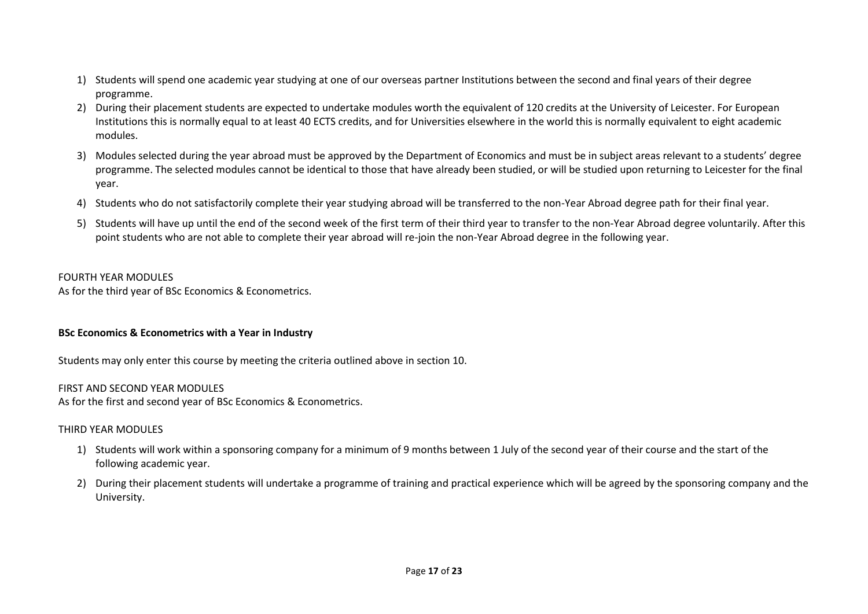- 1) Students will spend one academic year studying at one of our overseas partner Institutions between the second and final years of their degree programme.
- 2) During their placement students are expected to undertake modules worth the equivalent of 120 credits at the University of Leicester. For European Institutions this is normally equal to at least 40 ECTS credits, and for Universities elsewhere in the world this is normally equivalent to eight academic modules.
- 3) Modules selected during the year abroad must be approved by the Department of Economics and must be in subject areas relevant to a students' degree programme. The selected modules cannot be identical to those that have already been studied, or will be studied upon returning to Leicester for the final year.
- 4) Students who do not satisfactorily complete their year studying abroad will be transferred to the non-Year Abroad degree path for their final year.
- 5) Students will have up until the end of the second week of the first term of their third year to transfer to the non-Year Abroad degree voluntarily. After this point students who are not able to complete their year abroad will re-join the non-Year Abroad degree in the following year.

#### FOURTH YEAR MODULES

As for the third year of BSc Economics & Econometrics.

### **BSc Economics & Econometrics with a Year in Industry**

Students may only enter this course by meeting the criteria outlined above in section 10.

#### FIRST AND SECOND YEAR MODULES

As for the first and second year of BSc Economics & Econometrics.

#### THIRD YEAR MODULES

- 1) Students will work within a sponsoring company for a minimum of 9 months between 1 July of the second year of their course and the start of the following academic year.
- 2) During their placement students will undertake a programme of training and practical experience which will be agreed by the sponsoring company and the University.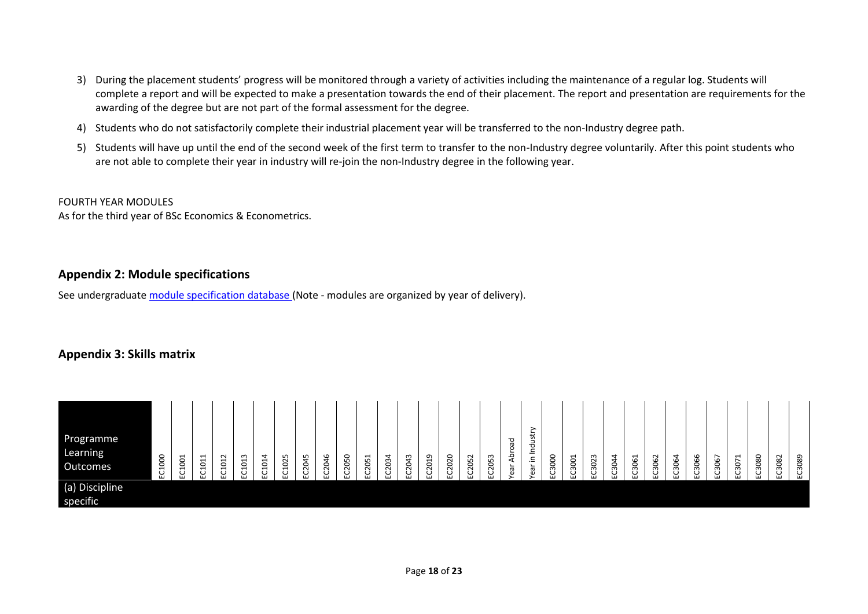- 3) During the placement students' progress will be monitored through a variety of activities including the maintenance of a regular log. Students will complete a report and will be expected to make a presentation towards the end of their placement. The report and presentation are requirements for the awarding of the degree but are not part of the formal assessment for the degree.
- 4) Students who do not satisfactorily complete their industrial placement year will be transferred to the non-Industry degree path.
- 5) Students will have up until the end of the second week of the first term to transfer to the non-Industry degree voluntarily. After this point students who are not able to complete their year in industry will re-join the non-Industry degree in the following year.

FOURTH YEAR MODULES As for the third year of BSc Economics & Econometrics.

## **Appendix 2: Module specifications**

See undergraduat[e module specification database](http://www.le.ac.uk/sas/courses/documentation) (Note - modules are organized by year of delivery).

# **Appendix 3: Skills matrix**

| Programme<br>Learning<br>Outcomes | C1000<br>EC1001<br>ш | EC1011 | EC1012 | EC1013 | 4<br>C101<br>ш | 1025<br>◡<br>$\cdots$ | 45<br>S<br>پ<br>ш | 2046<br>ပ<br>ш | 2050<br>ັ | 2051<br>ᇦ | 2034 | 2043<br>$\cdots$ | $\sigma$<br>201<br>◡<br>ш | 2020<br>ပ | EC2052 | EC2053 | peo<br>ear Abro | ➤<br>ear in Industr | EC3000 | EC3001 | EC3023 | 3044<br>C | 3061 | 3062<br>요 | 3064<br>۲ | EC3066 | 3067<br>요 | 3071<br>ب<br>ш | 3080<br>◡<br>ш | EC3082 | 3089<br>ᇦ |
|-----------------------------------|----------------------|--------|--------|--------|----------------|-----------------------|-------------------|----------------|-----------|-----------|------|------------------|---------------------------|-----------|--------|--------|-----------------|---------------------|--------|--------|--------|-----------|------|-----------|-----------|--------|-----------|----------------|----------------|--------|-----------|
| (a) Discipline<br>specific        |                      |        |        |        |                |                       |                   |                |           |           |      |                  |                           |           |        |        |                 |                     |        |        |        |           |      |           |           |        |           |                |                |        |           |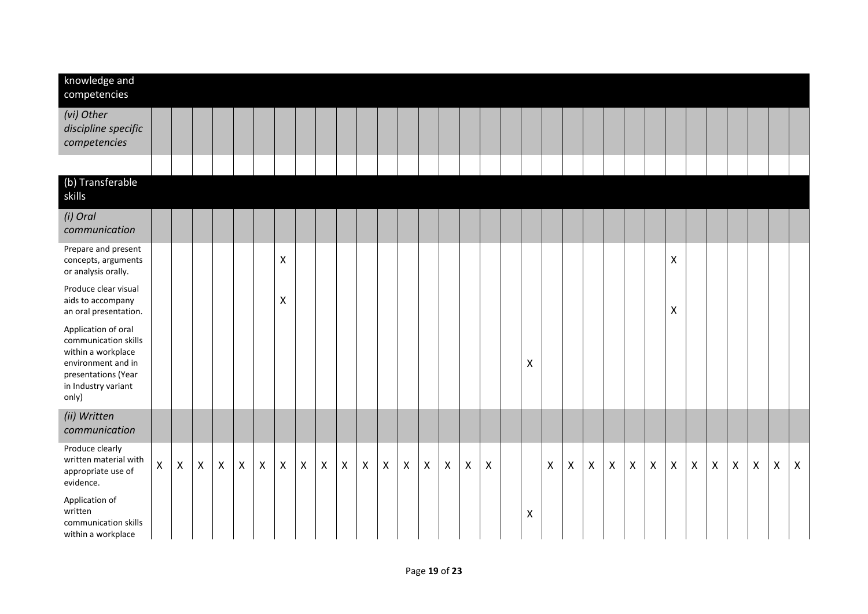| knowledge and<br>competencies                                                                                                                  |                    |              |              |              |                |                |                    |                           |   |   |                           |   |                           |                |                |                |                           |   |   |   |                |                |                |              |                    |              |                           |              |                |                    |              |
|------------------------------------------------------------------------------------------------------------------------------------------------|--------------------|--------------|--------------|--------------|----------------|----------------|--------------------|---------------------------|---|---|---------------------------|---|---------------------------|----------------|----------------|----------------|---------------------------|---|---|---|----------------|----------------|----------------|--------------|--------------------|--------------|---------------------------|--------------|----------------|--------------------|--------------|
| (vi) Other<br>discipline specific<br>competencies                                                                                              |                    |              |              |              |                |                |                    |                           |   |   |                           |   |                           |                |                |                |                           |   |   |   |                |                |                |              |                    |              |                           |              |                |                    |              |
|                                                                                                                                                |                    |              |              |              |                |                |                    |                           |   |   |                           |   |                           |                |                |                |                           |   |   |   |                |                |                |              |                    |              |                           |              |                |                    |              |
| (b) Transferable<br>skills                                                                                                                     |                    |              |              |              |                |                |                    |                           |   |   |                           |   |                           |                |                |                |                           |   |   |   |                |                |                |              |                    |              |                           |              |                |                    |              |
| (i) Oral<br>communication                                                                                                                      |                    |              |              |              |                |                |                    |                           |   |   |                           |   |                           |                |                |                |                           |   |   |   |                |                |                |              |                    |              |                           |              |                |                    |              |
| Prepare and present<br>concepts, arguments<br>or analysis orally.                                                                              |                    |              |              |              |                |                | $\pmb{\mathsf{X}}$ |                           |   |   |                           |   |                           |                |                |                |                           |   |   |   |                |                |                |              | $\pmb{\mathsf{X}}$ |              |                           |              |                |                    |              |
| Produce clear visual<br>aids to accompany<br>an oral presentation.                                                                             |                    |              |              |              |                |                | Χ                  |                           |   |   |                           |   |                           |                |                |                |                           |   |   |   |                |                |                |              | $\pmb{\times}$     |              |                           |              |                |                    |              |
| Application of oral<br>communication skills<br>within a workplace<br>environment and in<br>presentations (Year<br>in Industry variant<br>only) |                    |              |              |              |                |                |                    |                           |   |   |                           |   |                           |                |                |                |                           | Χ |   |   |                |                |                |              |                    |              |                           |              |                |                    |              |
| (ii) Written<br>communication                                                                                                                  |                    |              |              |              |                |                |                    |                           |   |   |                           |   |                           |                |                |                |                           |   |   |   |                |                |                |              |                    |              |                           |              |                |                    |              |
| Produce clearly<br>written material with<br>appropriate use of<br>evidence.                                                                    | $\pmb{\mathsf{X}}$ | $\mathsf{X}$ | $\mathsf{X}$ | $\mathsf{X}$ | $\pmb{\times}$ | $\pmb{\times}$ | $\mathsf{X}$       | $\boldsymbol{\mathsf{X}}$ | X | X | $\boldsymbol{\mathsf{X}}$ | X | $\boldsymbol{\mathsf{X}}$ | $\pmb{\times}$ | $\pmb{\times}$ | $\pmb{\times}$ | $\boldsymbol{\mathsf{X}}$ |   | X | X | $\pmb{\times}$ | $\pmb{\times}$ | $\pmb{\times}$ | $\mathsf{X}$ | $\pmb{\mathsf{X}}$ | $\mathsf{X}$ | $\boldsymbol{\mathsf{X}}$ | $\mathsf{X}$ | $\pmb{\times}$ | $\pmb{\mathsf{X}}$ | $\mathsf{X}$ |
| Application of<br>written<br>communication skills<br>within a workplace                                                                        |                    |              |              |              |                |                |                    |                           |   |   |                           |   |                           |                |                |                |                           | Χ |   |   |                |                |                |              |                    |              |                           |              |                |                    |              |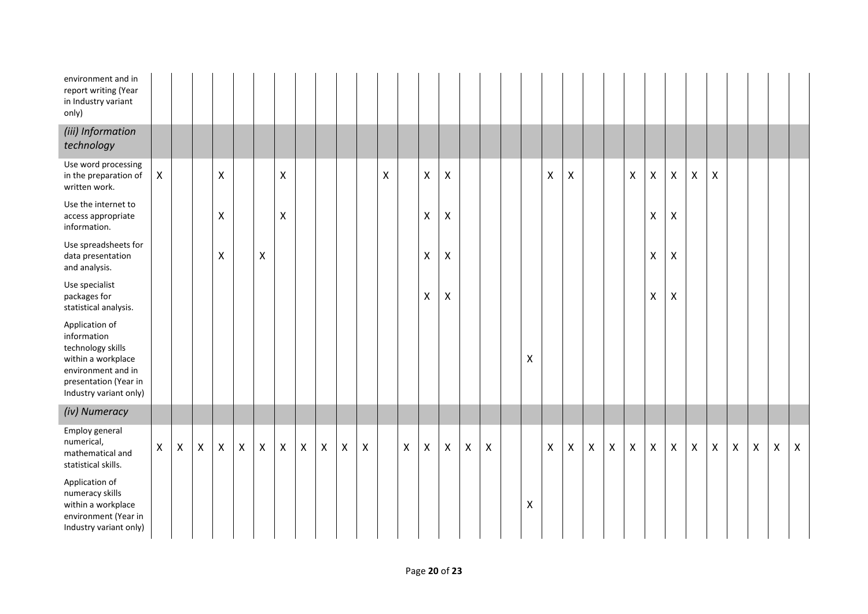| environment and in<br>report writing (Year<br>in Industry variant<br>only)                                                                        |   |   |   |                    |   |                    |                    |                |                |              |                    |                    |   |                           |                           |                |                    |                |                    |                    |   |              |                    |                    |             |                    |                    |                |                    |              |              |
|---------------------------------------------------------------------------------------------------------------------------------------------------|---|---|---|--------------------|---|--------------------|--------------------|----------------|----------------|--------------|--------------------|--------------------|---|---------------------------|---------------------------|----------------|--------------------|----------------|--------------------|--------------------|---|--------------|--------------------|--------------------|-------------|--------------------|--------------------|----------------|--------------------|--------------|--------------|
| (iii) Information<br>technology                                                                                                                   |   |   |   |                    |   |                    |                    |                |                |              |                    |                    |   |                           |                           |                |                    |                |                    |                    |   |              |                    |                    |             |                    |                    |                |                    |              |              |
| Use word processing<br>in the preparation of<br>written work.                                                                                     | X |   |   | X                  |   |                    | $\pmb{\mathsf{X}}$ |                |                |              |                    | $\pmb{\mathsf{X}}$ |   | $\pmb{\mathsf{X}}$        | $\mathsf{X}$              |                |                    |                | $\pmb{\mathsf{X}}$ | $\pmb{\mathsf{X}}$ |   |              | $\pmb{\mathsf{X}}$ | $\pmb{\mathsf{X}}$ | $\mathsf X$ | $\pmb{\mathsf{X}}$ | $\pmb{\mathsf{X}}$ |                |                    |              |              |
| Use the internet to<br>access appropriate<br>information.                                                                                         |   |   |   | $\pmb{\mathsf{X}}$ |   |                    | $\pmb{\mathsf{X}}$ |                |                |              |                    |                    |   | $\pmb{\mathsf{X}}$        | $\boldsymbol{\mathsf{X}}$ |                |                    |                |                    |                    |   |              |                    | $\pmb{\mathsf{X}}$ | Χ           |                    |                    |                |                    |              |              |
| Use spreadsheets for<br>data presentation<br>and analysis.                                                                                        |   |   |   | X                  |   | Χ                  |                    |                |                |              |                    |                    |   | $\pmb{\times}$            | X                         |                |                    |                |                    |                    |   |              |                    | $\pmb{\mathsf{X}}$ | Χ           |                    |                    |                |                    |              |              |
| Use specialist<br>packages for<br>statistical analysis.                                                                                           |   |   |   |                    |   |                    |                    |                |                |              |                    |                    |   | $\pmb{\times}$            | X                         |                |                    |                |                    |                    |   |              |                    | X                  | Χ           |                    |                    |                |                    |              |              |
| Application of<br>information<br>technology skills<br>within a workplace<br>environment and in<br>presentation (Year in<br>Industry variant only) |   |   |   |                    |   |                    |                    |                |                |              |                    |                    |   |                           |                           |                |                    | $\mathsf{X}$   |                    |                    |   |              |                    |                    |             |                    |                    |                |                    |              |              |
| (iv) Numeracy                                                                                                                                     |   |   |   |                    |   |                    |                    |                |                |              |                    |                    |   |                           |                           |                |                    |                |                    |                    |   |              |                    |                    |             |                    |                    |                |                    |              |              |
| Employ general<br>numerical,<br>mathematical and<br>statistical skills.                                                                           | X | X | X | $\mathsf{X}$       | X | $\pmb{\mathsf{X}}$ | $\mathsf{X}$       | $\pmb{\times}$ | $\pmb{\times}$ | $\mathsf{X}$ | $\pmb{\mathsf{X}}$ |                    | X | $\boldsymbol{\mathsf{X}}$ | $\mathsf{X}$              | $\pmb{\times}$ | $\pmb{\mathsf{X}}$ |                | $\mathsf{X}$       | $\pmb{\mathsf{X}}$ | X | $\mathsf{X}$ | $\mathsf{X}$       | $\mathsf{X}$       | X           | $\pmb{\mathsf{X}}$ | $\pmb{\mathsf{X}}$ | $\pmb{\times}$ | $\pmb{\mathsf{X}}$ | $\mathsf{x}$ | $\mathsf{X}$ |
| Application of<br>numeracy skills<br>within a workplace<br>environment (Year in<br>Industry variant only)                                         |   |   |   |                    |   |                    |                    |                |                |              |                    |                    |   |                           |                           |                |                    | $\pmb{\times}$ |                    |                    |   |              |                    |                    |             |                    |                    |                |                    |              |              |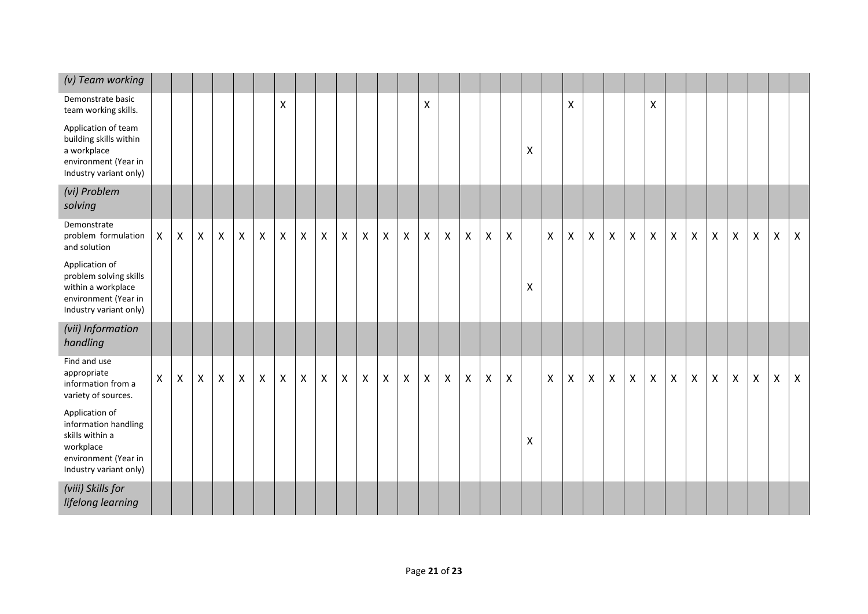| (v) Team working                                                                                                         |              |              |              |                    |                    |                |              |                |                |                |                           |   |              |   |                           |                           |                           |                    |                |              |              |              |              |                    |              |                    |                |                    |                |                    |                |                |
|--------------------------------------------------------------------------------------------------------------------------|--------------|--------------|--------------|--------------------|--------------------|----------------|--------------|----------------|----------------|----------------|---------------------------|---|--------------|---|---------------------------|---------------------------|---------------------------|--------------------|----------------|--------------|--------------|--------------|--------------|--------------------|--------------|--------------------|----------------|--------------------|----------------|--------------------|----------------|----------------|
| Demonstrate basic<br>team working skills.                                                                                |              |              |              |                    |                    |                | X            |                |                |                |                           |   |              | X |                           |                           |                           |                    |                |              | X            |              |              |                    | X            |                    |                |                    |                |                    |                |                |
| Application of team<br>building skills within<br>a workplace<br>environment (Year in<br>Industry variant only)           |              |              |              |                    |                    |                |              |                |                |                |                           |   |              |   |                           |                           |                           |                    | $\pmb{\chi}$   |              |              |              |              |                    |              |                    |                |                    |                |                    |                |                |
| (vi) Problem<br>solving                                                                                                  |              |              |              |                    |                    |                |              |                |                |                |                           |   |              |   |                           |                           |                           |                    |                |              |              |              |              |                    |              |                    |                |                    |                |                    |                |                |
| Demonstrate<br>problem formulation<br>and solution                                                                       | $\mathsf{X}$ | $\mathsf{X}$ | $\mathsf{X}$ | $\pmb{\mathsf{X}}$ | $\pmb{\mathsf{X}}$ | $\mathsf X$    | $\mathsf{X}$ | $\pmb{\times}$ | $\pmb{\times}$ | $\pmb{\times}$ | $\pmb{\times}$            | X | $\mathsf{X}$ | X | $\pmb{\times}$            | $\boldsymbol{\mathsf{X}}$ | $\mathsf{X}$              | $\pmb{\mathsf{X}}$ |                | $\mathsf{X}$ | $\mathsf{X}$ | $\mathsf X$  | $\mathsf X$  | $\pmb{\mathsf{X}}$ | $\mathsf{X}$ | $\pmb{\mathsf{X}}$ | $\pmb{\times}$ | $\pmb{\mathsf{X}}$ | $\pmb{\times}$ | $\pmb{\mathsf{X}}$ | $\pmb{\times}$ | $\pmb{\times}$ |
| Application of<br>problem solving skills<br>within a workplace<br>environment (Year in<br>Industry variant only)         |              |              |              |                    |                    |                |              |                |                |                |                           |   |              |   |                           |                           |                           |                    | $\pmb{\times}$ |              |              |              |              |                    |              |                    |                |                    |                |                    |                |                |
| (vii) Information<br>handling                                                                                            |              |              |              |                    |                    |                |              |                |                |                |                           |   |              |   |                           |                           |                           |                    |                |              |              |              |              |                    |              |                    |                |                    |                |                    |                |                |
| Find and use<br>appropriate<br>information from a<br>variety of sources.                                                 | X            | $\mathsf{X}$ | X            | X                  | $\pmb{\mathsf{X}}$ | $\pmb{\times}$ | X            | $\pmb{\times}$ | $\mathsf{X}$   | $\mathsf{X}$   | $\boldsymbol{\mathsf{X}}$ | X | X            | X | $\boldsymbol{\mathsf{X}}$ | $\boldsymbol{\mathsf{X}}$ | $\boldsymbol{\mathsf{X}}$ | X                  |                | $\mathsf{X}$ | $\mathsf{X}$ | $\mathsf{X}$ | $\mathsf{X}$ | $\mathsf{X}$       | $\mathsf{X}$ | $\mathsf{X}$       | $\pmb{\times}$ | $\pmb{\times}$     | $\pmb{\times}$ | $\pmb{\mathsf{X}}$ | $\pmb{\times}$ | $\mathsf{X}$   |
| Application of<br>information handling<br>skills within a<br>workplace<br>environment (Year in<br>Industry variant only) |              |              |              |                    |                    |                |              |                |                |                |                           |   |              |   |                           |                           |                           |                    | X              |              |              |              |              |                    |              |                    |                |                    |                |                    |                |                |
| (viii) Skills for<br>lifelong learning                                                                                   |              |              |              |                    |                    |                |              |                |                |                |                           |   |              |   |                           |                           |                           |                    |                |              |              |              |              |                    |              |                    |                |                    |                |                    |                |                |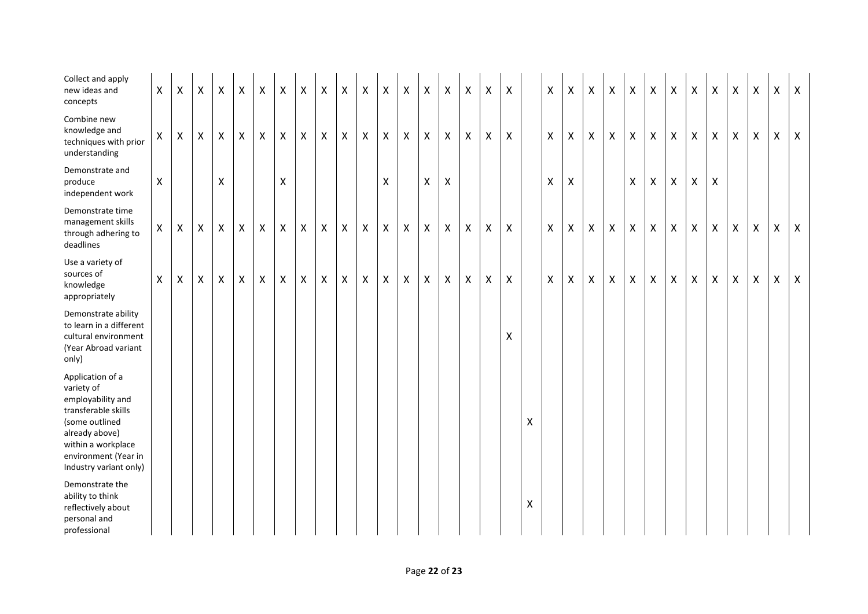| Collect and apply<br>new ideas and<br>concepts                                                                                                                                         | $\mathsf{X}$ | $\boldsymbol{\mathsf{X}}$ | $\pmb{\mathsf{X}}$ | $\boldsymbol{\mathsf{X}}$ | $\pmb{\times}$ | $\boldsymbol{\mathsf{X}}$ | Χ              | $\pmb{\mathsf{X}}$ | $\pmb{\mathsf{X}}$ | $\boldsymbol{\mathsf{X}}$ | $\boldsymbol{\mathsf{X}}$ | Χ | X | X | $\pmb{\times}$            | Χ | Χ | X              |   | X            | X                  | X                  | $\pmb{\mathsf{X}}$ | $\pmb{\mathsf{X}}$ | X            | X              | $\pmb{\times}$ | X                         | Χ | X | X | $\boldsymbol{\mathsf{X}}$ |
|----------------------------------------------------------------------------------------------------------------------------------------------------------------------------------------|--------------|---------------------------|--------------------|---------------------------|----------------|---------------------------|----------------|--------------------|--------------------|---------------------------|---------------------------|---|---|---|---------------------------|---|---|----------------|---|--------------|--------------------|--------------------|--------------------|--------------------|--------------|----------------|----------------|---------------------------|---|---|---|---------------------------|
| Combine new<br>knowledge and<br>techniques with prior<br>understanding                                                                                                                 | $\mathsf{X}$ | $\boldsymbol{\mathsf{X}}$ | $\mathsf{X}$       | X                         | $\mathsf{X}$   | $\pmb{\times}$            | X              | $\pmb{\times}$     | X                  | X                         | X                         | Χ | X | X | $\boldsymbol{\mathsf{X}}$ | X | Χ | $\pmb{\times}$ |   | $\mathsf{X}$ | X                  | $\pmb{\mathsf{X}}$ | X                  | $\pmb{\mathsf{X}}$ | X            | $\pmb{\times}$ | $\pmb{\times}$ | $\pmb{\times}$            | X | X | X | $\mathsf{X}$              |
| Demonstrate and<br>produce<br>independent work                                                                                                                                         | X            |                           |                    | Χ                         |                |                           | X              |                    |                    |                           |                           | X |   | X | Χ                         |   |   |                |   | Χ            | $\pmb{\mathsf{X}}$ |                    |                    | $\mathsf X$        | X            | $\pmb{\times}$ | X              | X                         |   |   |   |                           |
| Demonstrate time<br>management skills<br>through adhering to<br>deadlines                                                                                                              | $\mathsf{X}$ | $\boldsymbol{\mathsf{X}}$ | $\mathsf{X}$       | $\boldsymbol{\mathsf{X}}$ | $\mathsf{X}$   | $\mathsf{X}$              | $\mathsf{X}$   | $\pmb{\mathsf{X}}$ | $\pmb{\mathsf{X}}$ | $\mathsf{X}$              | $\pmb{\mathsf{X}}$        | Χ | X | X | $\pmb{\times}$            | X | X | $\mathsf{X}$   |   | X            | $\pmb{\mathsf{X}}$ | X                  | X                  | X                  | $\mathsf{X}$ | X              | $\mathsf{X}$   | X                         | X | X | Х | $\mathsf{X}$              |
| Use a variety of<br>sources of<br>knowledge<br>appropriately                                                                                                                           | $\mathsf{X}$ | $\boldsymbol{X}$          | $\mathsf{X}$       | $\mathsf{X}$              | $\mathsf{X}$   | $\mathsf{X}$              | $\pmb{\times}$ | $\pmb{\mathsf{X}}$ | $\mathsf{X}$       | $\mathsf{X}$              | $\pmb{\times}$            | X | X | X | $\mathsf{X}$              | X | X | $\mathsf{X}$   |   | $\mathsf{X}$ | $\mathsf{X}$       | $\pmb{\mathsf{X}}$ | X                  | $\pmb{\times}$     | X            | $\mathsf{X}$   | $\mathsf{X}$   | $\boldsymbol{\mathsf{X}}$ | X | X | X | $\mathsf{X}$              |
| Demonstrate ability<br>to learn in a different<br>cultural environment<br>(Year Abroad variant<br>only)                                                                                |              |                           |                    |                           |                |                           |                |                    |                    |                           |                           |   |   |   |                           |   |   | X              |   |              |                    |                    |                    |                    |              |                |                |                           |   |   |   |                           |
| Application of a<br>variety of<br>employability and<br>transferable skills<br>(some outlined<br>already above)<br>within a workplace<br>environment (Year in<br>Industry variant only) |              |                           |                    |                           |                |                           |                |                    |                    |                           |                           |   |   |   |                           |   |   |                | Χ |              |                    |                    |                    |                    |              |                |                |                           |   |   |   |                           |
| Demonstrate the<br>ability to think<br>reflectively about<br>personal and<br>professional                                                                                              |              |                           |                    |                           |                |                           |                |                    |                    |                           |                           |   |   |   |                           |   |   |                | X |              |                    |                    |                    |                    |              |                |                |                           |   |   |   |                           |